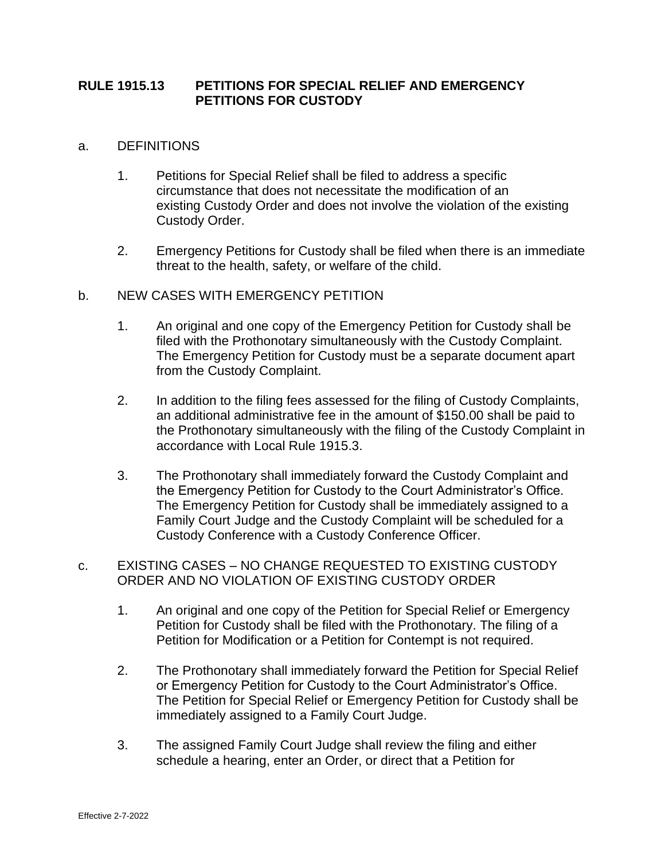## **RULE 1915.13 PETITIONS FOR SPECIAL RELIEF AND EMERGENCY PETITIONS FOR CUSTODY**

## a. DEFINITIONS

- 1. Petitions for Special Relief shall be filed to address a specific circumstance that does not necessitate the modification of an existing Custody Order and does not involve the violation of the existing Custody Order.
- 2. Emergency Petitions for Custody shall be filed when there is an immediate threat to the health, safety, or welfare of the child.

## b. NEW CASES WITH EMERGENCY PETITION

- 1. An original and one copy of the Emergency Petition for Custody shall be filed with the Prothonotary simultaneously with the Custody Complaint. The Emergency Petition for Custody must be a separate document apart from the Custody Complaint.
- 2. In addition to the filing fees assessed for the filing of Custody Complaints, an additional administrative fee in the amount of \$150.00 shall be paid to the Prothonotary simultaneously with the filing of the Custody Complaint in accordance with Local Rule 1915.3.
- 3. The Prothonotary shall immediately forward the Custody Complaint and the Emergency Petition for Custody to the Court Administrator's Office. The Emergency Petition for Custody shall be immediately assigned to a Family Court Judge and the Custody Complaint will be scheduled for a Custody Conference with a Custody Conference Officer.
- c. EXISTING CASES NO CHANGE REQUESTED TO EXISTING CUSTODY ORDER AND NO VIOLATION OF EXISTING CUSTODY ORDER
	- 1. An original and one copy of the Petition for Special Relief or Emergency Petition for Custody shall be filed with the Prothonotary. The filing of a Petition for Modification or a Petition for Contempt is not required.
	- 2. The Prothonotary shall immediately forward the Petition for Special Relief or Emergency Petition for Custody to the Court Administrator's Office. The Petition for Special Relief or Emergency Petition for Custody shall be immediately assigned to a Family Court Judge.
	- 3. The assigned Family Court Judge shall review the filing and either schedule a hearing, enter an Order, or direct that a Petition for